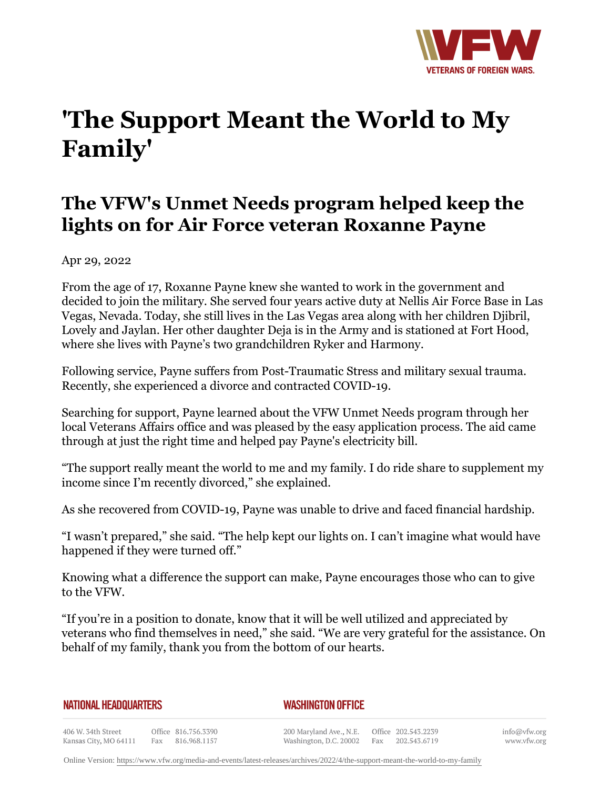

## **'The Support Meant the World to My Family'**

## **The VFW's Unmet Needs program helped keep the lights on for Air Force veteran Roxanne Payne**

Apr 29, 2022

From the age of 17, Roxanne Payne knew she wanted to work in the government and decided to join the military. She served four years active duty at Nellis Air Force Base in Las Vegas, Nevada. Today, she still lives in the Las Vegas area along with her children Djibril, Lovely and Jaylan. Her other daughter Deja is in the Army and is stationed at Fort Hood, where she lives with Payne's two grandchildren Ryker and Harmony.

Following service, Payne suffers from Post-Traumatic Stress and military sexual trauma. Recently, she experienced a divorce and contracted COVID-19.

Searching for support, Payne learned about the VFW Unmet Needs program through her local Veterans Affairs office and was pleased by the easy application process. The aid came through at just the right time and helped pay Payne's electricity bill.

"The support really meant the world to me and my family. I do ride share to supplement my income since I'm recently divorced," she explained.

As she recovered from COVID-19, Payne was unable to drive and faced financial hardship.

"I wasn't prepared," she said. "The help kept our lights on. I can't imagine what would have happened if they were turned off."

Knowing what a difference the support can make, Payne encourages those who can to give to the VFW.

"If you're in a position to donate, know that it will be well utilized and appreciated by veterans who find themselves in need," she said. "We are very grateful for the assistance. On behalf of my family, thank you from the bottom of our hearts.

| NATIONAL HEADQUARTERS |  |
|-----------------------|--|
|-----------------------|--|

*WASHINGTON OFFICE* 

406 W. 34th Street Office 816.756.3390 Kansas City, MO 64111 Fax 816.968.1157

200 Maryland Ave., N.E. Washington, D.C. 20002 Fax

Office 202.543.2239 202.543.6719

info@vfw.org www.vfw.org

Online Version:<https://www.vfw.org/media-and-events/latest-releases/archives/2022/4/the-support-meant-the-world-to-my-family>